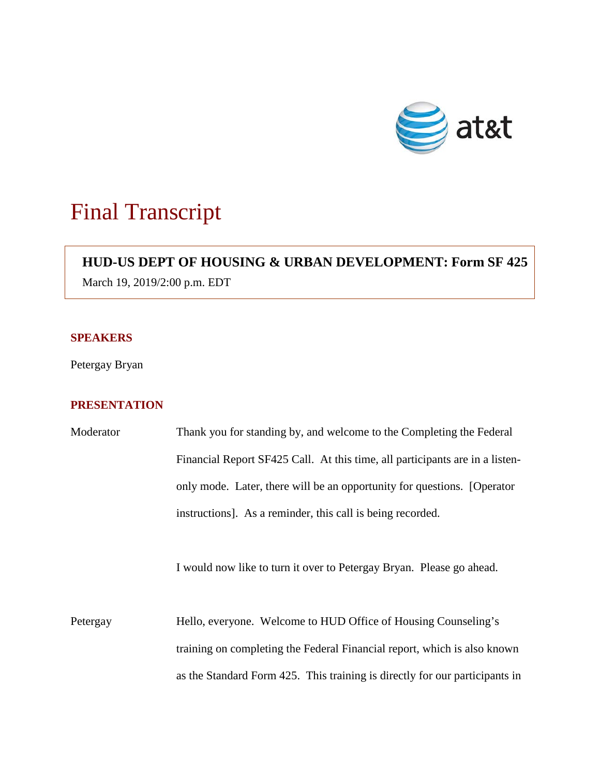

# Final Transcript

# **HUD-US DEPT OF HOUSING & URBAN DEVELOPMENT: Form SF 425**

March 19, 2019/2:00 p.m. EDT

### **SPEAKERS**

Petergay Bryan

## **PRESENTATION**

| Moderator | Thank you for standing by, and welcome to the Completing the Federal         |
|-----------|------------------------------------------------------------------------------|
|           | Financial Report SF425 Call. At this time, all participants are in a listen- |
|           | only mode. Later, there will be an opportunity for questions. [Operator      |
|           | instructions]. As a reminder, this call is being recorded.                   |
|           | I would now like to turn it over to Petergay Bryan. Please go ahead.         |
| Petergay  | Hello, everyone. Welcome to HUD Office of Housing Counseling's               |
|           | training on completing the Federal Financial report, which is also known     |
|           | as the Standard Form 425. This training is directly for our participants in  |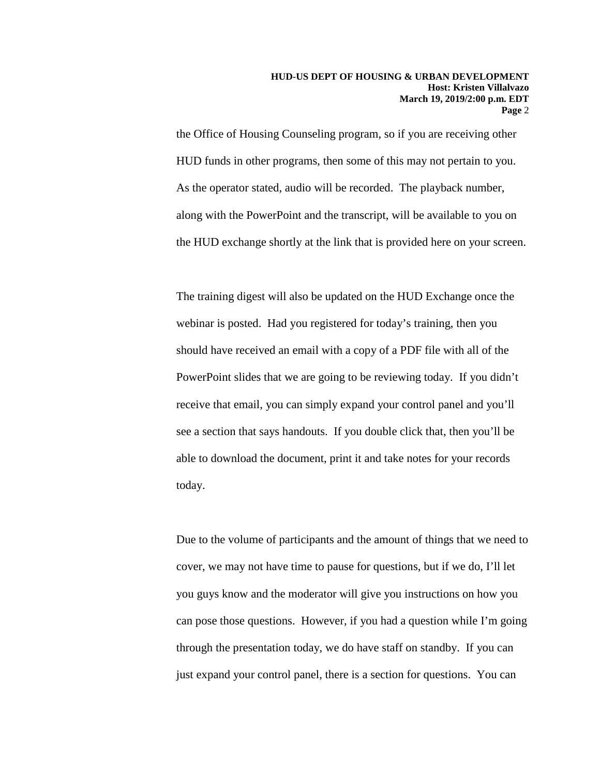the Office of Housing Counseling program, so if you are receiving other HUD funds in other programs, then some of this may not pertain to you. As the operator stated, audio will be recorded. The playback number, along with the PowerPoint and the transcript, will be available to you on the HUD exchange shortly at the link that is provided here on your screen.

The training digest will also be updated on the HUD Exchange once the webinar is posted. Had you registered for today's training, then you should have received an email with a copy of a PDF file with all of the PowerPoint slides that we are going to be reviewing today. If you didn't receive that email, you can simply expand your control panel and you'll see a section that says handouts. If you double click that, then you'll be able to download the document, print it and take notes for your records today.

Due to the volume of participants and the amount of things that we need to cover, we may not have time to pause for questions, but if we do, I'll let you guys know and the moderator will give you instructions on how you can pose those questions. However, if you had a question while I'm going through the presentation today, we do have staff on standby. If you can just expand your control panel, there is a section for questions. You can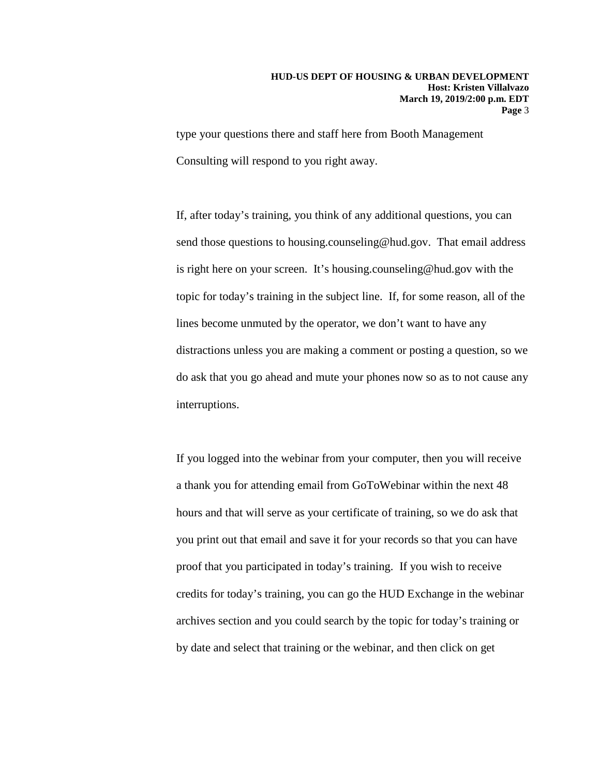type your questions there and staff here from Booth Management Consulting will respond to you right away.

If, after today's training, you think of any additional questions, you can send those questions to housing.counseling@hud.gov. That email address is right here on your screen. It's housing.counseling@hud.gov with the topic for today's training in the subject line. If, for some reason, all of the lines become unmuted by the operator, we don't want to have any distractions unless you are making a comment or posting a question, so we do ask that you go ahead and mute your phones now so as to not cause any interruptions.

If you logged into the webinar from your computer, then you will receive a thank you for attending email from GoToWebinar within the next 48 hours and that will serve as your certificate of training, so we do ask that you print out that email and save it for your records so that you can have proof that you participated in today's training. If you wish to receive credits for today's training, you can go the HUD Exchange in the webinar archives section and you could search by the topic for today's training or by date and select that training or the webinar, and then click on get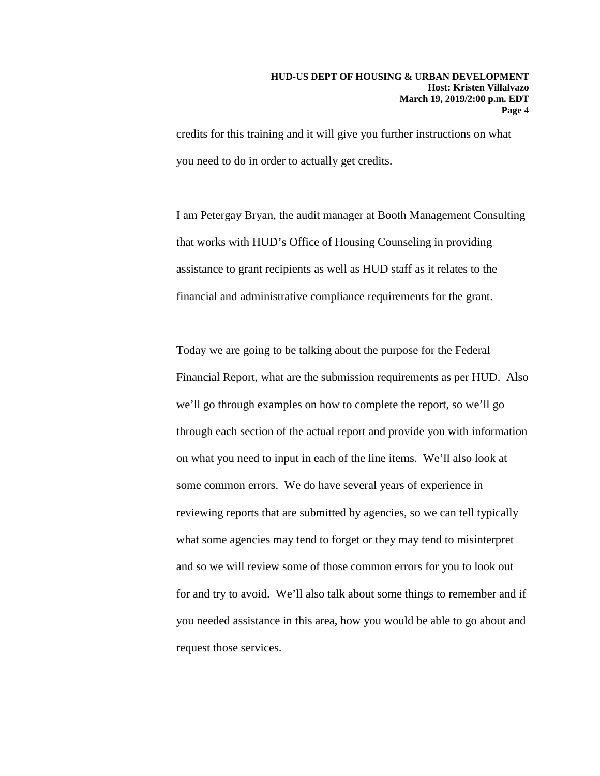credits for this training and it will give you further instructions on what you need to do in order to actually get credits.

I am Petergay Bryan, the audit manager at Booth Management Consulting that works with HUD's Office of Housing Counseling in providing assistance to grant recipients as well as HUD staff as it relates to the financial and administrative compliance requirements for the grant.

Today we are going to be talking about the purpose for the Federal Financial Report, what are the submission requirements as per HUD. Also we'll go through examples on how to complete the report, so we'll go through each section of the actual report and provide you with information on what you need to input in each of the line items. We'll also look at some common errors. We do have several years of experience in reviewing reports that are submitted by agencies, so we can tell typically what some agencies may tend to forget or they may tend to misinterpret and so we will review some of those common errors for you to look out for and try to avoid. We'll also talk about some things to remember and if you needed assistance in this area, how you would be able to go about and request those services.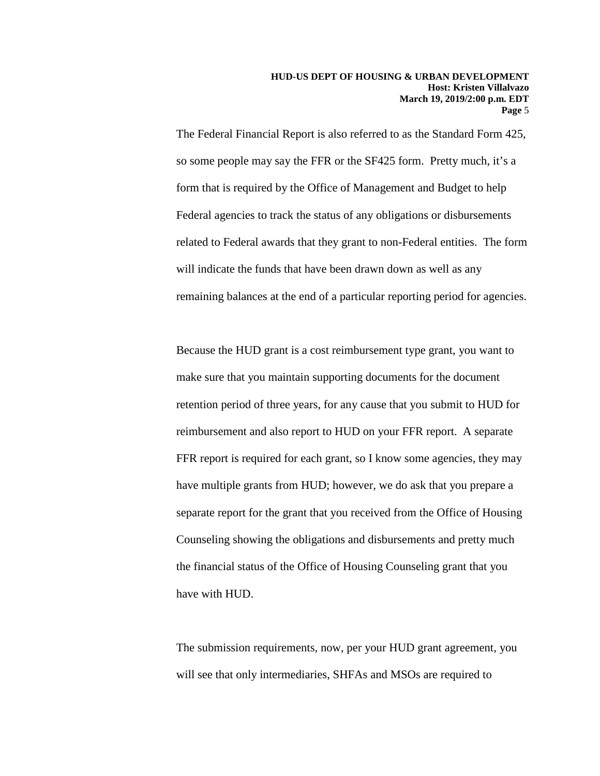The Federal Financial Report is also referred to as the Standard Form 425, so some people may say the FFR or the SF425 form. Pretty much, it's a form that is required by the Office of Management and Budget to help Federal agencies to track the status of any obligations or disbursements related to Federal awards that they grant to non-Federal entities. The form will indicate the funds that have been drawn down as well as any remaining balances at the end of a particular reporting period for agencies.

Because the HUD grant is a cost reimbursement type grant, you want to make sure that you maintain supporting documents for the document retention period of three years, for any cause that you submit to HUD for reimbursement and also report to HUD on your FFR report. A separate FFR report is required for each grant, so I know some agencies, they may have multiple grants from HUD; however, we do ask that you prepare a separate report for the grant that you received from the Office of Housing Counseling showing the obligations and disbursements and pretty much the financial status of the Office of Housing Counseling grant that you have with HUD.

The submission requirements, now, per your HUD grant agreement, you will see that only intermediaries, SHFAs and MSOs are required to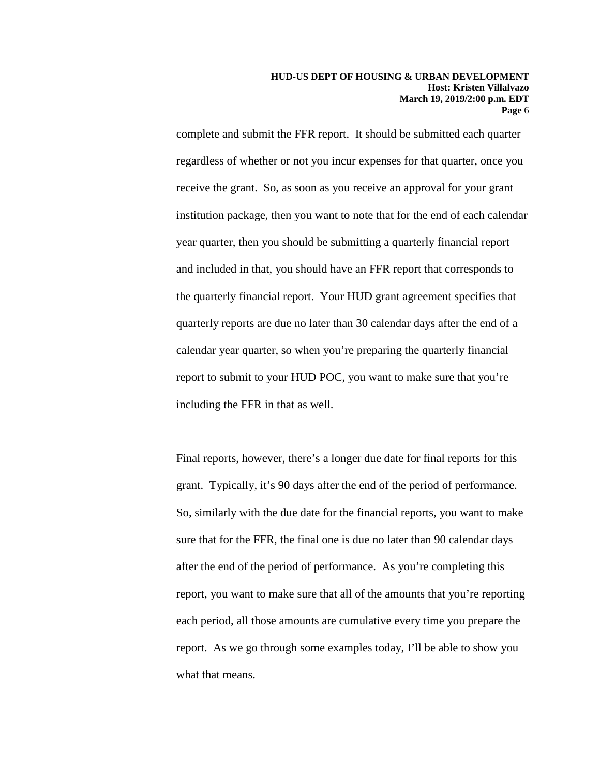complete and submit the FFR report. It should be submitted each quarter regardless of whether or not you incur expenses for that quarter, once you receive the grant. So, as soon as you receive an approval for your grant institution package, then you want to note that for the end of each calendar year quarter, then you should be submitting a quarterly financial report and included in that, you should have an FFR report that corresponds to the quarterly financial report. Your HUD grant agreement specifies that quarterly reports are due no later than 30 calendar days after the end of a calendar year quarter, so when you're preparing the quarterly financial report to submit to your HUD POC, you want to make sure that you're including the FFR in that as well.

Final reports, however, there's a longer due date for final reports for this grant. Typically, it's 90 days after the end of the period of performance. So, similarly with the due date for the financial reports, you want to make sure that for the FFR, the final one is due no later than 90 calendar days after the end of the period of performance. As you're completing this report, you want to make sure that all of the amounts that you're reporting each period, all those amounts are cumulative every time you prepare the report. As we go through some examples today, I'll be able to show you what that means.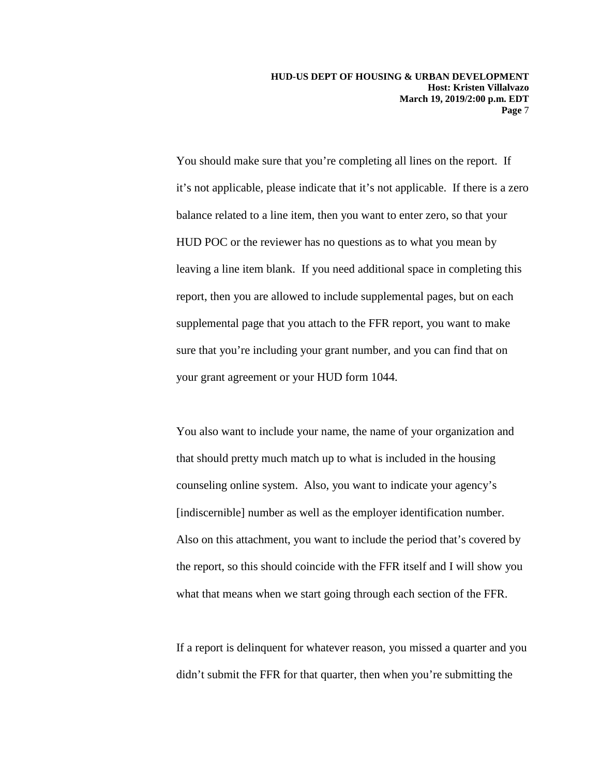You should make sure that you're completing all lines on the report. If it's not applicable, please indicate that it's not applicable. If there is a zero balance related to a line item, then you want to enter zero, so that your HUD POC or the reviewer has no questions as to what you mean by leaving a line item blank. If you need additional space in completing this report, then you are allowed to include supplemental pages, but on each supplemental page that you attach to the FFR report, you want to make sure that you're including your grant number, and you can find that on your grant agreement or your HUD form 1044.

You also want to include your name, the name of your organization and that should pretty much match up to what is included in the housing counseling online system. Also, you want to indicate your agency's [indiscernible] number as well as the employer identification number. Also on this attachment, you want to include the period that's covered by the report, so this should coincide with the FFR itself and I will show you what that means when we start going through each section of the FFR.

If a report is delinquent for whatever reason, you missed a quarter and you didn't submit the FFR for that quarter, then when you're submitting the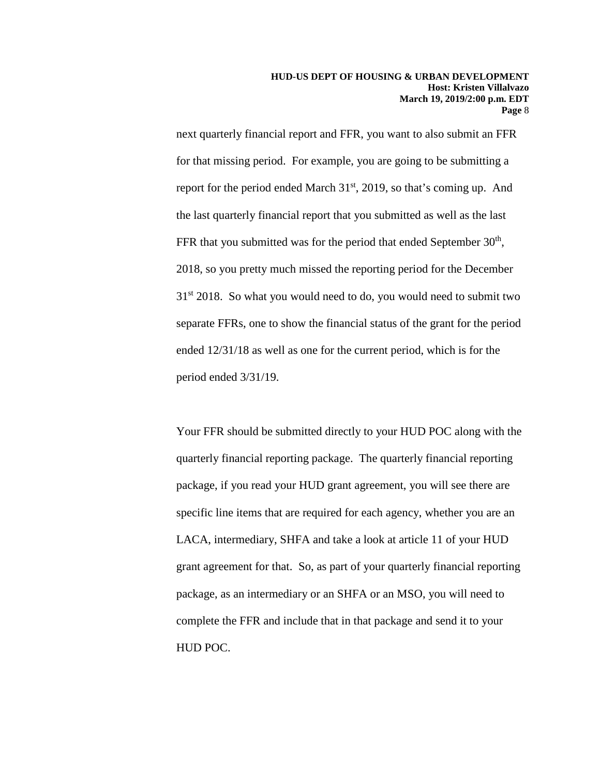next quarterly financial report and FFR, you want to also submit an FFR for that missing period. For example, you are going to be submitting a report for the period ended March 31<sup>st</sup>, 2019, so that's coming up. And the last quarterly financial report that you submitted as well as the last FFR that you submitted was for the period that ended September  $30<sup>th</sup>$ , 2018, so you pretty much missed the reporting period for the December 31<sup>st</sup> 2018. So what you would need to do, you would need to submit two separate FFRs, one to show the financial status of the grant for the period ended 12/31/18 as well as one for the current period, which is for the period ended 3/31/19.

Your FFR should be submitted directly to your HUD POC along with the quarterly financial reporting package. The quarterly financial reporting package, if you read your HUD grant agreement, you will see there are specific line items that are required for each agency, whether you are an LACA, intermediary, SHFA and take a look at article 11 of your HUD grant agreement for that. So, as part of your quarterly financial reporting package, as an intermediary or an SHFA or an MSO, you will need to complete the FFR and include that in that package and send it to your HUD POC.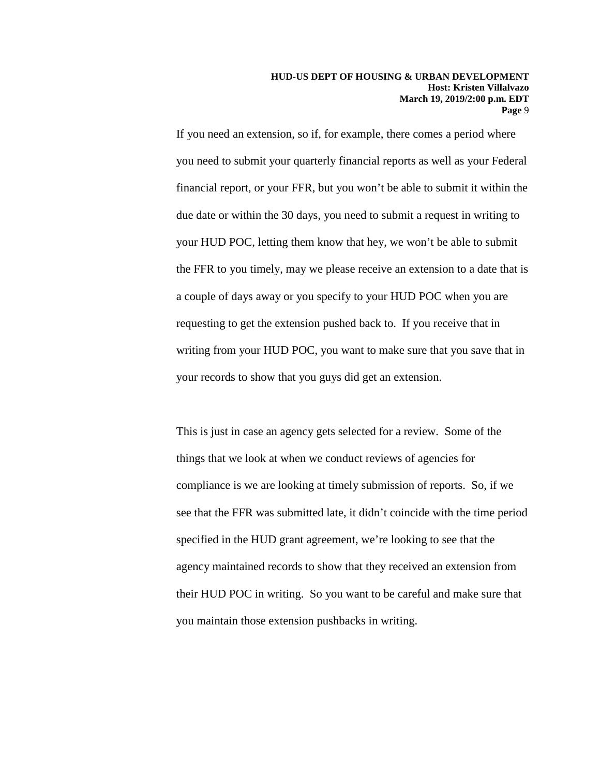If you need an extension, so if, for example, there comes a period where you need to submit your quarterly financial reports as well as your Federal financial report, or your FFR, but you won't be able to submit it within the due date or within the 30 days, you need to submit a request in writing to your HUD POC, letting them know that hey, we won't be able to submit the FFR to you timely, may we please receive an extension to a date that is a couple of days away or you specify to your HUD POC when you are requesting to get the extension pushed back to. If you receive that in writing from your HUD POC, you want to make sure that you save that in your records to show that you guys did get an extension.

This is just in case an agency gets selected for a review. Some of the things that we look at when we conduct reviews of agencies for compliance is we are looking at timely submission of reports. So, if we see that the FFR was submitted late, it didn't coincide with the time period specified in the HUD grant agreement, we're looking to see that the agency maintained records to show that they received an extension from their HUD POC in writing. So you want to be careful and make sure that you maintain those extension pushbacks in writing.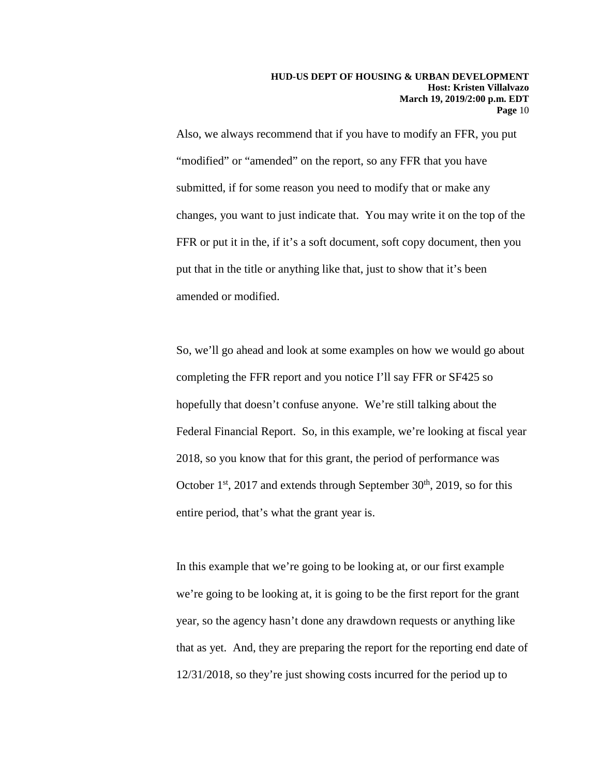Also, we always recommend that if you have to modify an FFR, you put "modified" or "amended" on the report, so any FFR that you have submitted, if for some reason you need to modify that or make any changes, you want to just indicate that. You may write it on the top of the FFR or put it in the, if it's a soft document, soft copy document, then you put that in the title or anything like that, just to show that it's been amended or modified.

So, we'll go ahead and look at some examples on how we would go about completing the FFR report and you notice I'll say FFR or SF425 so hopefully that doesn't confuse anyone. We're still talking about the Federal Financial Report. So, in this example, we're looking at fiscal year 2018, so you know that for this grant, the period of performance was October  $1<sup>st</sup>$ , 2017 and extends through September  $30<sup>th</sup>$ , 2019, so for this entire period, that's what the grant year is.

In this example that we're going to be looking at, or our first example we're going to be looking at, it is going to be the first report for the grant year, so the agency hasn't done any drawdown requests or anything like that as yet. And, they are preparing the report for the reporting end date of 12/31/2018, so they're just showing costs incurred for the period up to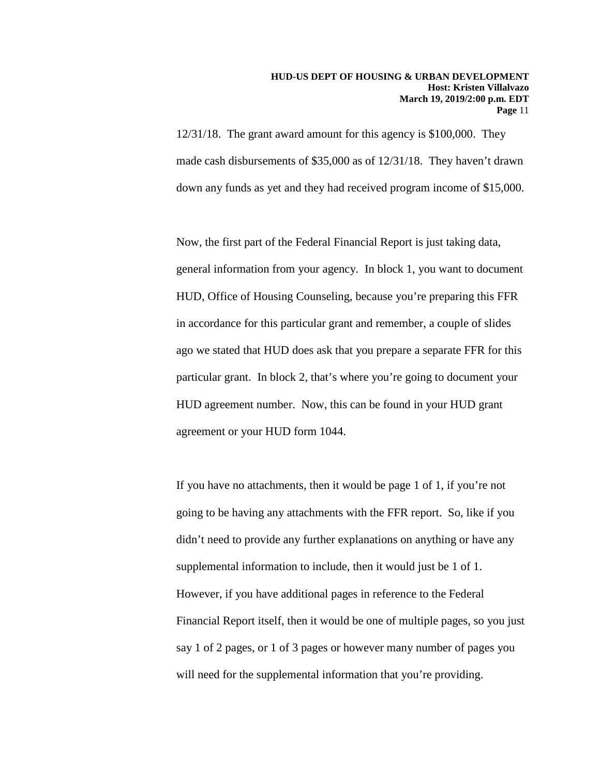12/31/18. The grant award amount for this agency is \$100,000. They made cash disbursements of \$35,000 as of 12/31/18. They haven't drawn down any funds as yet and they had received program income of \$15,000.

Now, the first part of the Federal Financial Report is just taking data, general information from your agency. In block 1, you want to document HUD, Office of Housing Counseling, because you're preparing this FFR in accordance for this particular grant and remember, a couple of slides ago we stated that HUD does ask that you prepare a separate FFR for this particular grant. In block 2, that's where you're going to document your HUD agreement number. Now, this can be found in your HUD grant agreement or your HUD form 1044.

If you have no attachments, then it would be page 1 of 1, if you're not going to be having any attachments with the FFR report. So, like if you didn't need to provide any further explanations on anything or have any supplemental information to include, then it would just be 1 of 1. However, if you have additional pages in reference to the Federal Financial Report itself, then it would be one of multiple pages, so you just say 1 of 2 pages, or 1 of 3 pages or however many number of pages you will need for the supplemental information that you're providing.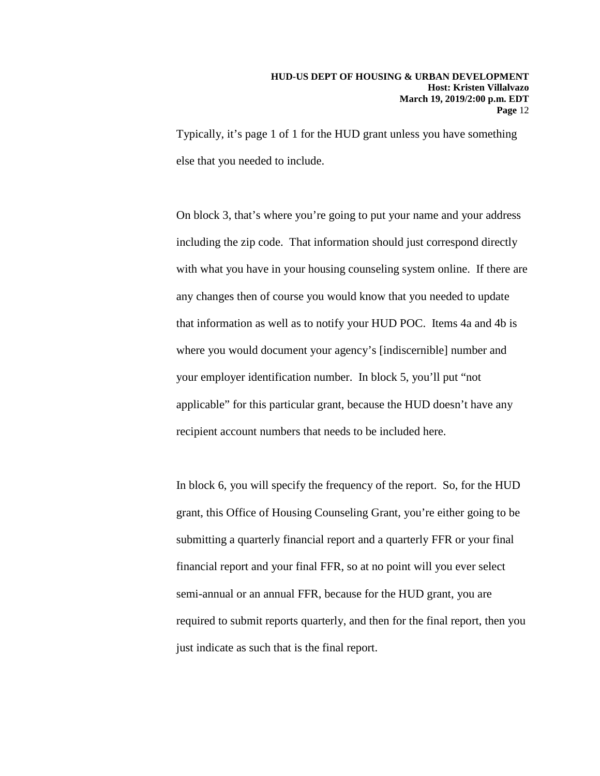Typically, it's page 1 of 1 for the HUD grant unless you have something else that you needed to include.

On block 3, that's where you're going to put your name and your address including the zip code. That information should just correspond directly with what you have in your housing counseling system online. If there are any changes then of course you would know that you needed to update that information as well as to notify your HUD POC. Items 4a and 4b is where you would document your agency's [indiscernible] number and your employer identification number. In block 5, you'll put "not applicable" for this particular grant, because the HUD doesn't have any recipient account numbers that needs to be included here.

In block 6, you will specify the frequency of the report. So, for the HUD grant, this Office of Housing Counseling Grant, you're either going to be submitting a quarterly financial report and a quarterly FFR or your final financial report and your final FFR, so at no point will you ever select semi-annual or an annual FFR, because for the HUD grant, you are required to submit reports quarterly, and then for the final report, then you just indicate as such that is the final report.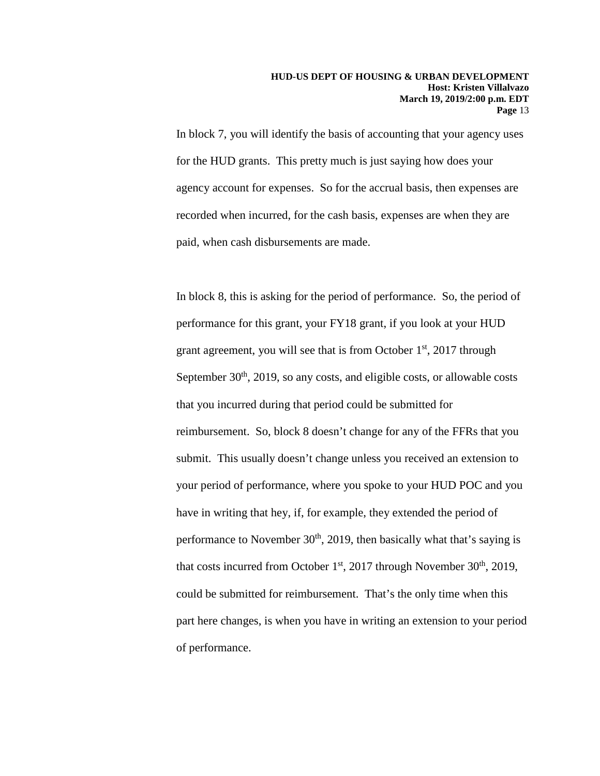In block 7, you will identify the basis of accounting that your agency uses for the HUD grants. This pretty much is just saying how does your agency account for expenses. So for the accrual basis, then expenses are recorded when incurred, for the cash basis, expenses are when they are paid, when cash disbursements are made.

In block 8, this is asking for the period of performance. So, the period of performance for this grant, your FY18 grant, if you look at your HUD grant agreement, you will see that is from October  $1<sup>st</sup>$ , 2017 through September  $30<sup>th</sup>$ ,  $2019$ , so any costs, and eligible costs, or allowable costs that you incurred during that period could be submitted for reimbursement. So, block 8 doesn't change for any of the FFRs that you submit. This usually doesn't change unless you received an extension to your period of performance, where you spoke to your HUD POC and you have in writing that hey, if, for example, they extended the period of performance to November  $30<sup>th</sup>$ , 2019, then basically what that's saying is that costs incurred from October  $1<sup>st</sup>$ , 2017 through November  $30<sup>th</sup>$ , 2019, could be submitted for reimbursement. That's the only time when this part here changes, is when you have in writing an extension to your period of performance.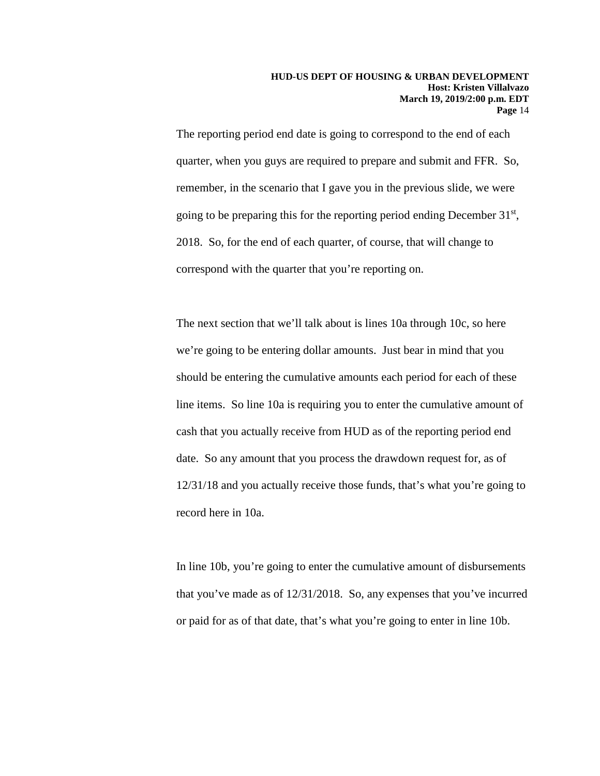The reporting period end date is going to correspond to the end of each quarter, when you guys are required to prepare and submit and FFR. So, remember, in the scenario that I gave you in the previous slide, we were going to be preparing this for the reporting period ending December 31st, 2018. So, for the end of each quarter, of course, that will change to correspond with the quarter that you're reporting on.

The next section that we'll talk about is lines 10a through 10c, so here we're going to be entering dollar amounts. Just bear in mind that you should be entering the cumulative amounts each period for each of these line items. So line 10a is requiring you to enter the cumulative amount of cash that you actually receive from HUD as of the reporting period end date. So any amount that you process the drawdown request for, as of 12/31/18 and you actually receive those funds, that's what you're going to record here in 10a.

In line 10b, you're going to enter the cumulative amount of disbursements that you've made as of 12/31/2018. So, any expenses that you've incurred or paid for as of that date, that's what you're going to enter in line 10b.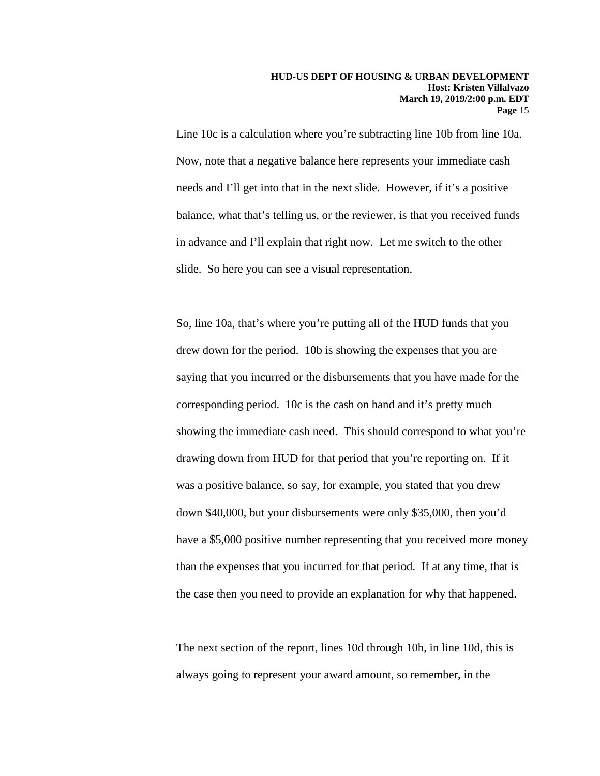Line 10c is a calculation where you're subtracting line 10b from line 10a. Now, note that a negative balance here represents your immediate cash needs and I'll get into that in the next slide. However, if it's a positive balance, what that's telling us, or the reviewer, is that you received funds in advance and I'll explain that right now. Let me switch to the other slide. So here you can see a visual representation.

So, line 10a, that's where you're putting all of the HUD funds that you drew down for the period. 10b is showing the expenses that you are saying that you incurred or the disbursements that you have made for the corresponding period. 10c is the cash on hand and it's pretty much showing the immediate cash need. This should correspond to what you're drawing down from HUD for that period that you're reporting on. If it was a positive balance, so say, for example, you stated that you drew down \$40,000, but your disbursements were only \$35,000, then you'd have a \$5,000 positive number representing that you received more money than the expenses that you incurred for that period. If at any time, that is the case then you need to provide an explanation for why that happened.

The next section of the report, lines 10d through 10h, in line 10d, this is always going to represent your award amount, so remember, in the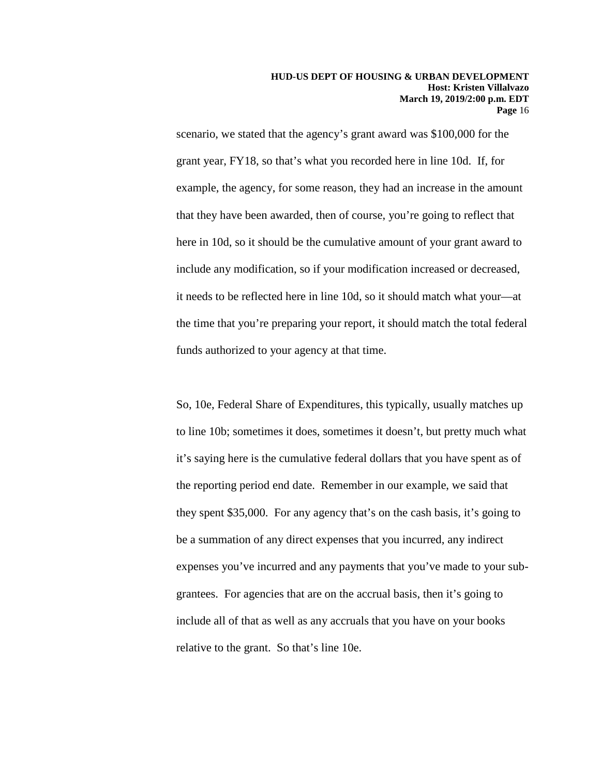scenario, we stated that the agency's grant award was \$100,000 for the grant year, FY18, so that's what you recorded here in line 10d. If, for example, the agency, for some reason, they had an increase in the amount that they have been awarded, then of course, you're going to reflect that here in 10d, so it should be the cumulative amount of your grant award to include any modification, so if your modification increased or decreased, it needs to be reflected here in line 10d, so it should match what your—at the time that you're preparing your report, it should match the total federal funds authorized to your agency at that time.

So, 10e, Federal Share of Expenditures, this typically, usually matches up to line 10b; sometimes it does, sometimes it doesn't, but pretty much what it's saying here is the cumulative federal dollars that you have spent as of the reporting period end date. Remember in our example, we said that they spent \$35,000. For any agency that's on the cash basis, it's going to be a summation of any direct expenses that you incurred, any indirect expenses you've incurred and any payments that you've made to your subgrantees. For agencies that are on the accrual basis, then it's going to include all of that as well as any accruals that you have on your books relative to the grant. So that's line 10e.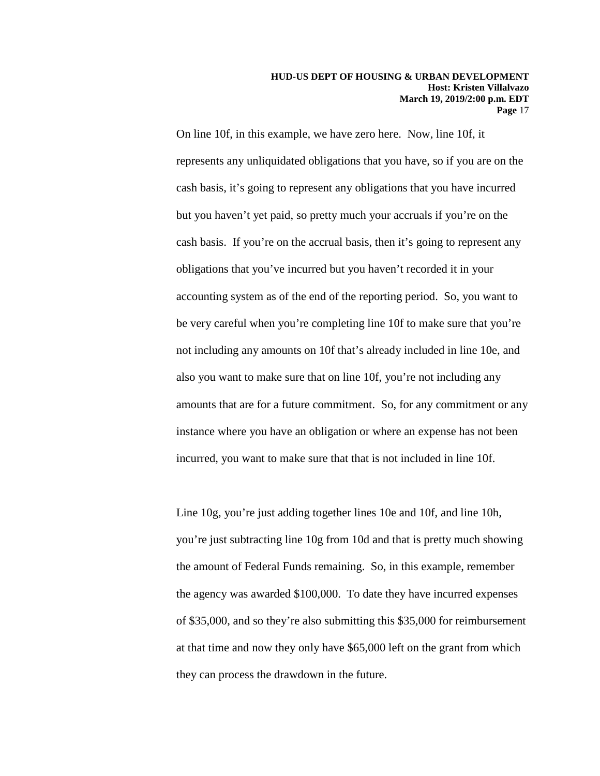On line 10f, in this example, we have zero here. Now, line 10f, it represents any unliquidated obligations that you have, so if you are on the cash basis, it's going to represent any obligations that you have incurred but you haven't yet paid, so pretty much your accruals if you're on the cash basis. If you're on the accrual basis, then it's going to represent any obligations that you've incurred but you haven't recorded it in your accounting system as of the end of the reporting period. So, you want to be very careful when you're completing line 10f to make sure that you're not including any amounts on 10f that's already included in line 10e, and also you want to make sure that on line 10f, you're not including any amounts that are for a future commitment. So, for any commitment or any instance where you have an obligation or where an expense has not been incurred, you want to make sure that that is not included in line 10f.

Line 10g, you're just adding together lines 10e and 10f, and line 10h, you're just subtracting line 10g from 10d and that is pretty much showing the amount of Federal Funds remaining. So, in this example, remember the agency was awarded \$100,000. To date they have incurred expenses of \$35,000, and so they're also submitting this \$35,000 for reimbursement at that time and now they only have \$65,000 left on the grant from which they can process the drawdown in the future.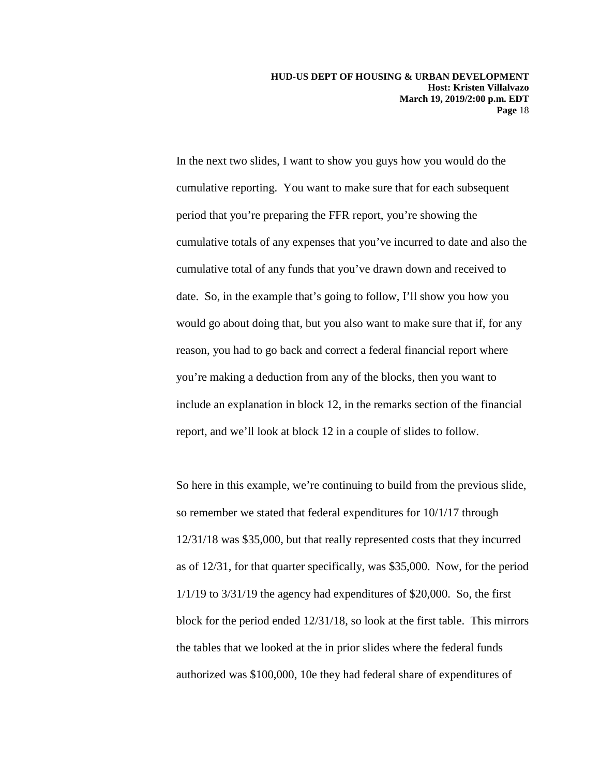In the next two slides, I want to show you guys how you would do the cumulative reporting. You want to make sure that for each subsequent period that you're preparing the FFR report, you're showing the cumulative totals of any expenses that you've incurred to date and also the cumulative total of any funds that you've drawn down and received to date. So, in the example that's going to follow, I'll show you how you would go about doing that, but you also want to make sure that if, for any reason, you had to go back and correct a federal financial report where you're making a deduction from any of the blocks, then you want to include an explanation in block 12, in the remarks section of the financial report, and we'll look at block 12 in a couple of slides to follow.

So here in this example, we're continuing to build from the previous slide, so remember we stated that federal expenditures for 10/1/17 through 12/31/18 was \$35,000, but that really represented costs that they incurred as of 12/31, for that quarter specifically, was \$35,000. Now, for the period 1/1/19 to 3/31/19 the agency had expenditures of \$20,000. So, the first block for the period ended 12/31/18, so look at the first table. This mirrors the tables that we looked at the in prior slides where the federal funds authorized was \$100,000, 10e they had federal share of expenditures of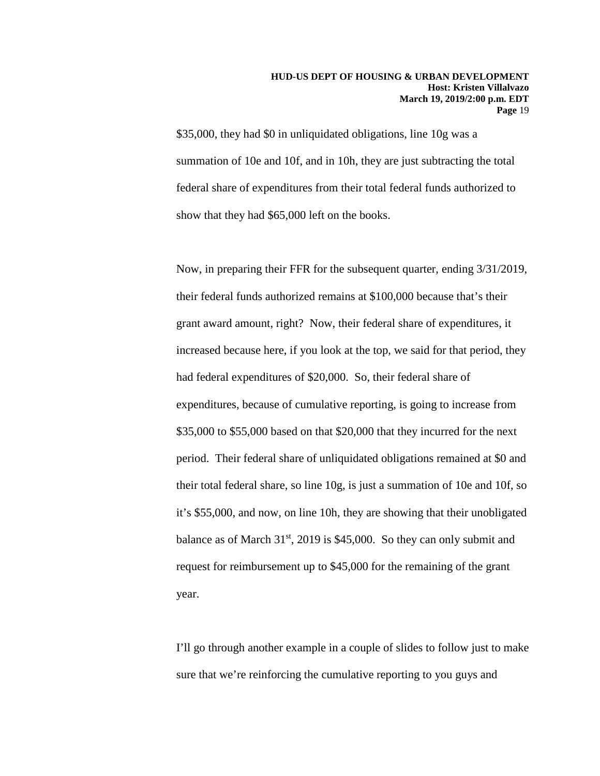\$35,000, they had \$0 in unliquidated obligations, line 10g was a summation of 10e and 10f, and in 10h, they are just subtracting the total federal share of expenditures from their total federal funds authorized to show that they had \$65,000 left on the books.

Now, in preparing their FFR for the subsequent quarter, ending 3/31/2019, their federal funds authorized remains at \$100,000 because that's their grant award amount, right? Now, their federal share of expenditures, it increased because here, if you look at the top, we said for that period, they had federal expenditures of \$20,000. So, their federal share of expenditures, because of cumulative reporting, is going to increase from \$35,000 to \$55,000 based on that \$20,000 that they incurred for the next period. Their federal share of unliquidated obligations remained at \$0 and their total federal share, so line 10g, is just a summation of 10e and 10f, so it's \$55,000, and now, on line 10h, they are showing that their unobligated balance as of March  $31<sup>st</sup>$ , 2019 is \$45,000. So they can only submit and request for reimbursement up to \$45,000 for the remaining of the grant year.

I'll go through another example in a couple of slides to follow just to make sure that we're reinforcing the cumulative reporting to you guys and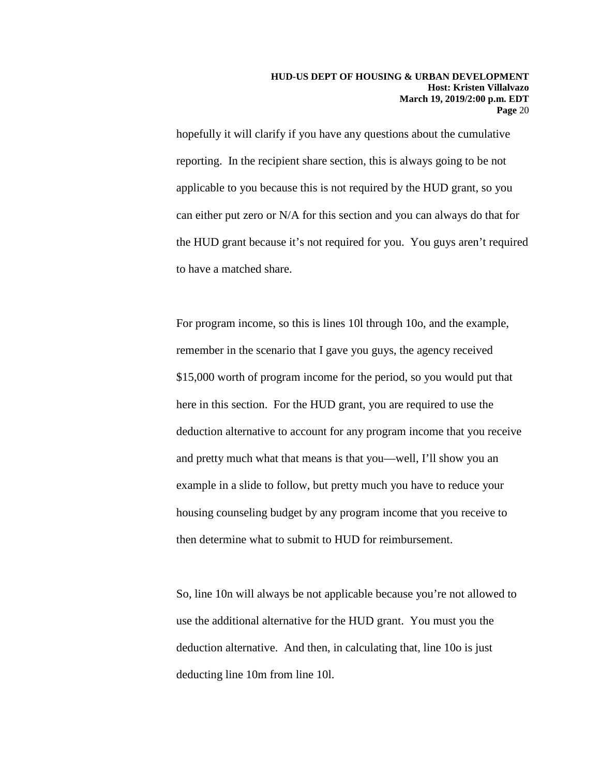hopefully it will clarify if you have any questions about the cumulative reporting. In the recipient share section, this is always going to be not applicable to you because this is not required by the HUD grant, so you can either put zero or N/A for this section and you can always do that for the HUD grant because it's not required for you. You guys aren't required to have a matched share.

For program income, so this is lines 10l through 10o, and the example, remember in the scenario that I gave you guys, the agency received \$15,000 worth of program income for the period, so you would put that here in this section. For the HUD grant, you are required to use the deduction alternative to account for any program income that you receive and pretty much what that means is that you—well, I'll show you an example in a slide to follow, but pretty much you have to reduce your housing counseling budget by any program income that you receive to then determine what to submit to HUD for reimbursement.

So, line 10n will always be not applicable because you're not allowed to use the additional alternative for the HUD grant. You must you the deduction alternative. And then, in calculating that, line 10o is just deducting line 10m from line 10l.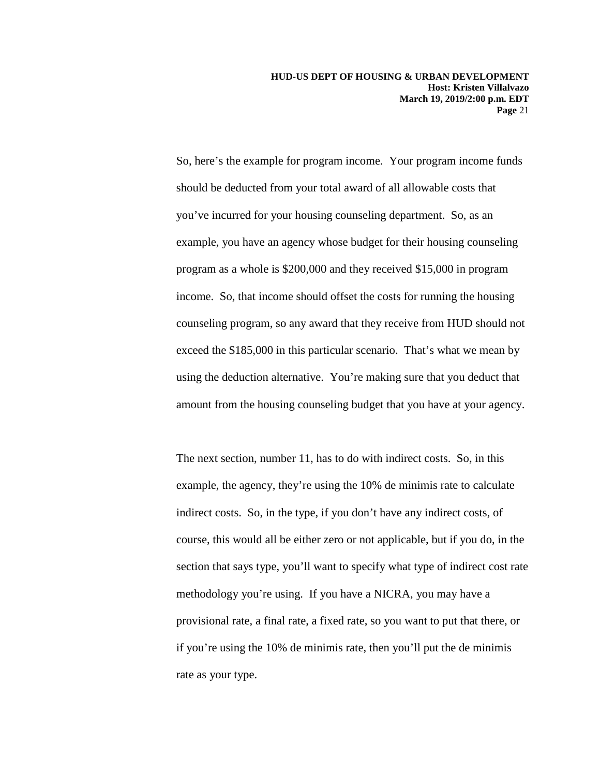So, here's the example for program income. Your program income funds should be deducted from your total award of all allowable costs that you've incurred for your housing counseling department. So, as an example, you have an agency whose budget for their housing counseling program as a whole is \$200,000 and they received \$15,000 in program income. So, that income should offset the costs for running the housing counseling program, so any award that they receive from HUD should not exceed the \$185,000 in this particular scenario. That's what we mean by using the deduction alternative. You're making sure that you deduct that amount from the housing counseling budget that you have at your agency.

The next section, number 11, has to do with indirect costs. So, in this example, the agency, they're using the 10% de minimis rate to calculate indirect costs. So, in the type, if you don't have any indirect costs, of course, this would all be either zero or not applicable, but if you do, in the section that says type, you'll want to specify what type of indirect cost rate methodology you're using. If you have a NICRA, you may have a provisional rate, a final rate, a fixed rate, so you want to put that there, or if you're using the 10% de minimis rate, then you'll put the de minimis rate as your type.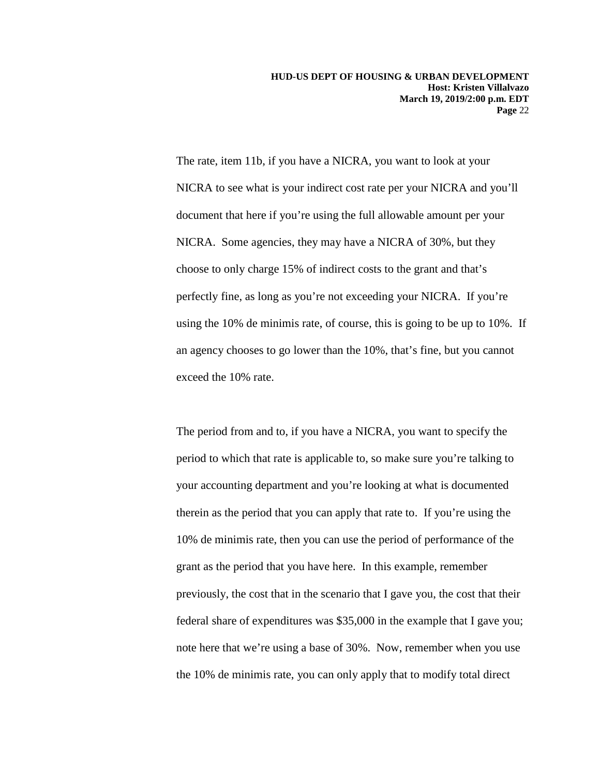The rate, item 11b, if you have a NICRA, you want to look at your NICRA to see what is your indirect cost rate per your NICRA and you'll document that here if you're using the full allowable amount per your NICRA. Some agencies, they may have a NICRA of 30%, but they choose to only charge 15% of indirect costs to the grant and that's perfectly fine, as long as you're not exceeding your NICRA. If you're using the 10% de minimis rate, of course, this is going to be up to 10%. If an agency chooses to go lower than the 10%, that's fine, but you cannot exceed the 10% rate.

The period from and to, if you have a NICRA, you want to specify the period to which that rate is applicable to, so make sure you're talking to your accounting department and you're looking at what is documented therein as the period that you can apply that rate to. If you're using the 10% de minimis rate, then you can use the period of performance of the grant as the period that you have here. In this example, remember previously, the cost that in the scenario that I gave you, the cost that their federal share of expenditures was \$35,000 in the example that I gave you; note here that we're using a base of 30%. Now, remember when you use the 10% de minimis rate, you can only apply that to modify total direct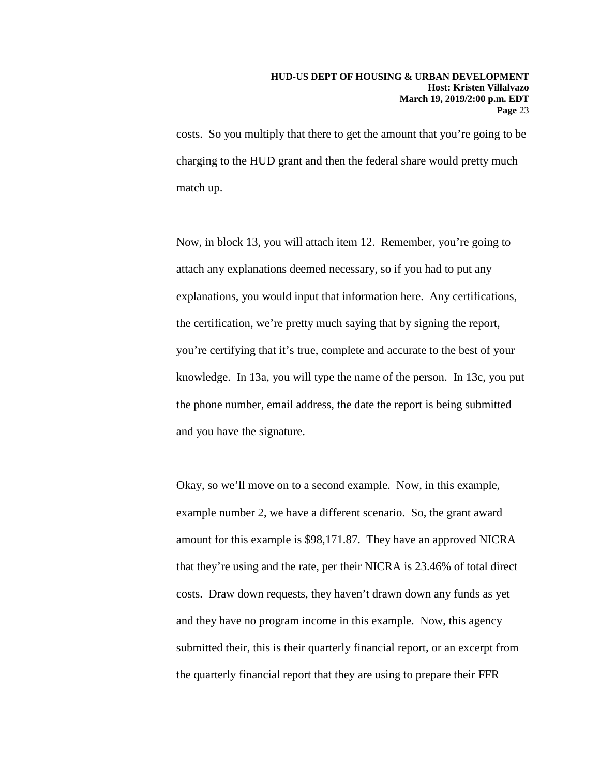costs. So you multiply that there to get the amount that you're going to be charging to the HUD grant and then the federal share would pretty much match up.

Now, in block 13, you will attach item 12. Remember, you're going to attach any explanations deemed necessary, so if you had to put any explanations, you would input that information here. Any certifications, the certification, we're pretty much saying that by signing the report, you're certifying that it's true, complete and accurate to the best of your knowledge. In 13a, you will type the name of the person. In 13c, you put the phone number, email address, the date the report is being submitted and you have the signature.

Okay, so we'll move on to a second example. Now, in this example, example number 2, we have a different scenario. So, the grant award amount for this example is \$98,171.87. They have an approved NICRA that they're using and the rate, per their NICRA is 23.46% of total direct costs. Draw down requests, they haven't drawn down any funds as yet and they have no program income in this example. Now, this agency submitted their, this is their quarterly financial report, or an excerpt from the quarterly financial report that they are using to prepare their FFR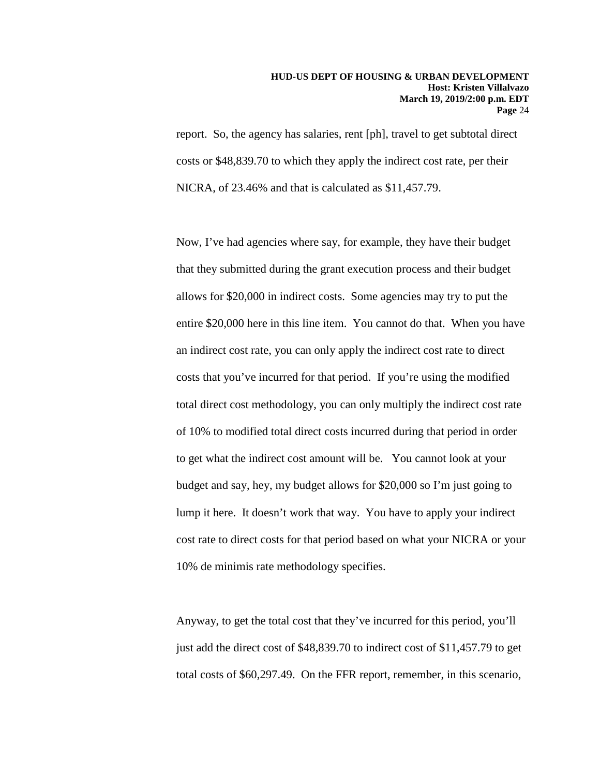report. So, the agency has salaries, rent [ph], travel to get subtotal direct costs or \$48,839.70 to which they apply the indirect cost rate, per their NICRA, of 23.46% and that is calculated as \$11,457.79.

Now, I've had agencies where say, for example, they have their budget that they submitted during the grant execution process and their budget allows for \$20,000 in indirect costs. Some agencies may try to put the entire \$20,000 here in this line item. You cannot do that. When you have an indirect cost rate, you can only apply the indirect cost rate to direct costs that you've incurred for that period. If you're using the modified total direct cost methodology, you can only multiply the indirect cost rate of 10% to modified total direct costs incurred during that period in order to get what the indirect cost amount will be. You cannot look at your budget and say, hey, my budget allows for \$20,000 so I'm just going to lump it here. It doesn't work that way. You have to apply your indirect cost rate to direct costs for that period based on what your NICRA or your 10% de minimis rate methodology specifies.

Anyway, to get the total cost that they've incurred for this period, you'll just add the direct cost of \$48,839.70 to indirect cost of \$11,457.79 to get total costs of \$60,297.49. On the FFR report, remember, in this scenario,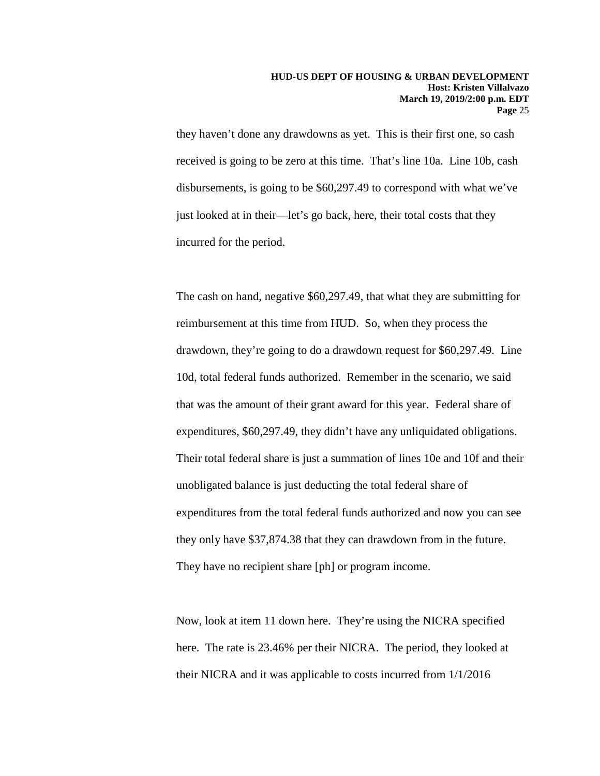they haven't done any drawdowns as yet. This is their first one, so cash received is going to be zero at this time. That's line 10a. Line 10b, cash disbursements, is going to be \$60,297.49 to correspond with what we've just looked at in their—let's go back, here, their total costs that they incurred for the period.

The cash on hand, negative \$60,297.49, that what they are submitting for reimbursement at this time from HUD. So, when they process the drawdown, they're going to do a drawdown request for \$60,297.49. Line 10d, total federal funds authorized. Remember in the scenario, we said that was the amount of their grant award for this year. Federal share of expenditures, \$60,297.49, they didn't have any unliquidated obligations. Their total federal share is just a summation of lines 10e and 10f and their unobligated balance is just deducting the total federal share of expenditures from the total federal funds authorized and now you can see they only have \$37,874.38 that they can drawdown from in the future. They have no recipient share [ph] or program income.

Now, look at item 11 down here. They're using the NICRA specified here. The rate is 23.46% per their NICRA. The period, they looked at their NICRA and it was applicable to costs incurred from 1/1/2016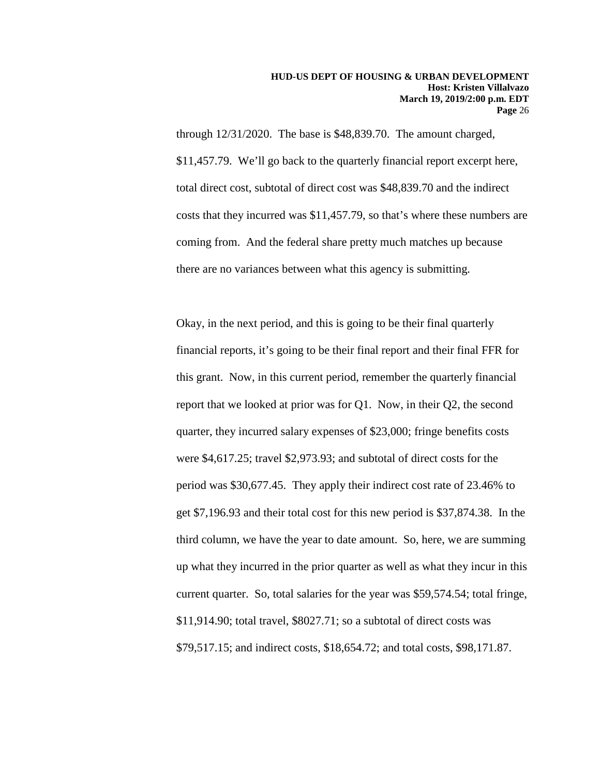through 12/31/2020. The base is \$48,839.70. The amount charged, \$11,457.79. We'll go back to the quarterly financial report excerpt here, total direct cost, subtotal of direct cost was \$48,839.70 and the indirect costs that they incurred was \$11,457.79, so that's where these numbers are coming from. And the federal share pretty much matches up because there are no variances between what this agency is submitting.

Okay, in the next period, and this is going to be their final quarterly financial reports, it's going to be their final report and their final FFR for this grant. Now, in this current period, remember the quarterly financial report that we looked at prior was for Q1. Now, in their Q2, the second quarter, they incurred salary expenses of \$23,000; fringe benefits costs were \$4,617.25; travel \$2,973.93; and subtotal of direct costs for the period was \$30,677.45. They apply their indirect cost rate of 23.46% to get \$7,196.93 and their total cost for this new period is \$37,874.38. In the third column, we have the year to date amount. So, here, we are summing up what they incurred in the prior quarter as well as what they incur in this current quarter. So, total salaries for the year was \$59,574.54; total fringe, \$11,914.90; total travel, \$8027.71; so a subtotal of direct costs was \$79,517.15; and indirect costs, \$18,654.72; and total costs, \$98,171.87.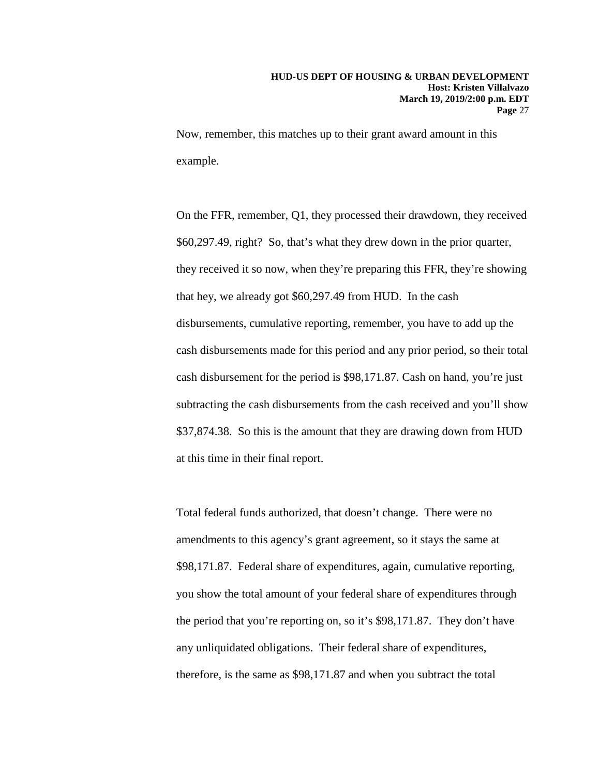Now, remember, this matches up to their grant award amount in this example.

On the FFR, remember, Q1, they processed their drawdown, they received \$60,297.49, right? So, that's what they drew down in the prior quarter, they received it so now, when they're preparing this FFR, they're showing that hey, we already got \$60,297.49 from HUD. In the cash disbursements, cumulative reporting, remember, you have to add up the cash disbursements made for this period and any prior period, so their total cash disbursement for the period is \$98,171.87. Cash on hand, you're just subtracting the cash disbursements from the cash received and you'll show \$37,874.38. So this is the amount that they are drawing down from HUD at this time in their final report.

Total federal funds authorized, that doesn't change. There were no amendments to this agency's grant agreement, so it stays the same at \$98,171.87. Federal share of expenditures, again, cumulative reporting, you show the total amount of your federal share of expenditures through the period that you're reporting on, so it's \$98,171.87. They don't have any unliquidated obligations. Their federal share of expenditures, therefore, is the same as \$98,171.87 and when you subtract the total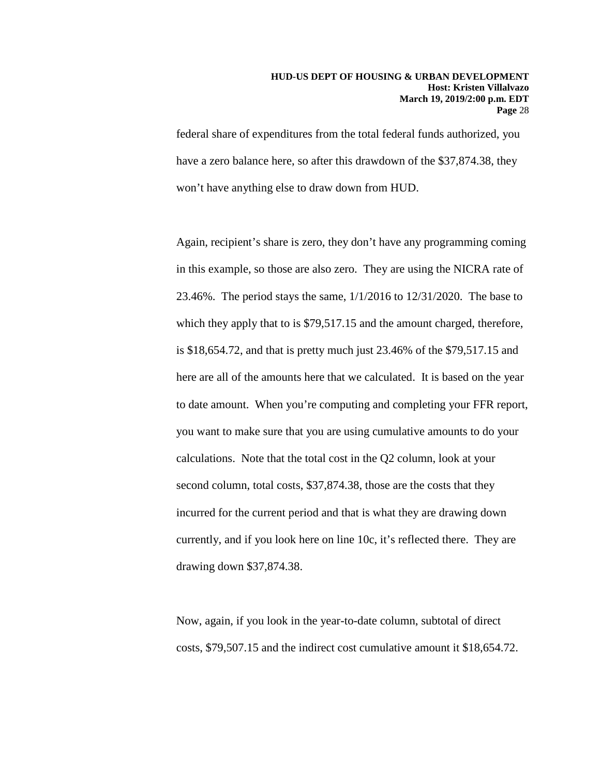federal share of expenditures from the total federal funds authorized, you have a zero balance here, so after this drawdown of the \$37,874.38, they won't have anything else to draw down from HUD.

Again, recipient's share is zero, they don't have any programming coming in this example, so those are also zero. They are using the NICRA rate of 23.46%. The period stays the same, 1/1/2016 to 12/31/2020. The base to which they apply that to is \$79,517.15 and the amount charged, therefore, is \$18,654.72, and that is pretty much just 23.46% of the \$79,517.15 and here are all of the amounts here that we calculated. It is based on the year to date amount. When you're computing and completing your FFR report, you want to make sure that you are using cumulative amounts to do your calculations. Note that the total cost in the Q2 column, look at your second column, total costs, \$37,874.38, those are the costs that they incurred for the current period and that is what they are drawing down currently, and if you look here on line 10c, it's reflected there. They are drawing down \$37,874.38.

Now, again, if you look in the year-to-date column, subtotal of direct costs, \$79,507.15 and the indirect cost cumulative amount it \$18,654.72.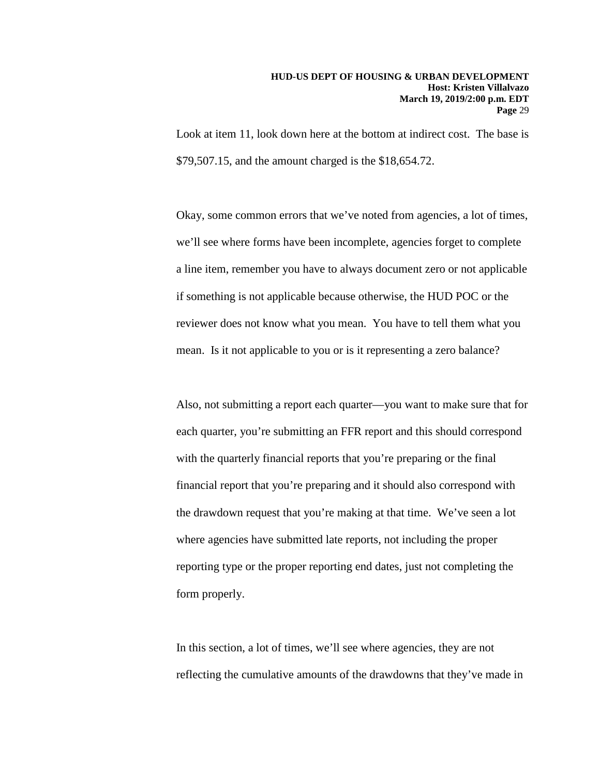Look at item 11, look down here at the bottom at indirect cost. The base is \$79,507.15, and the amount charged is the \$18,654.72.

Okay, some common errors that we've noted from agencies, a lot of times, we'll see where forms have been incomplete, agencies forget to complete a line item, remember you have to always document zero or not applicable if something is not applicable because otherwise, the HUD POC or the reviewer does not know what you mean. You have to tell them what you mean. Is it not applicable to you or is it representing a zero balance?

Also, not submitting a report each quarter—you want to make sure that for each quarter, you're submitting an FFR report and this should correspond with the quarterly financial reports that you're preparing or the final financial report that you're preparing and it should also correspond with the drawdown request that you're making at that time. We've seen a lot where agencies have submitted late reports, not including the proper reporting type or the proper reporting end dates, just not completing the form properly.

In this section, a lot of times, we'll see where agencies, they are not reflecting the cumulative amounts of the drawdowns that they've made in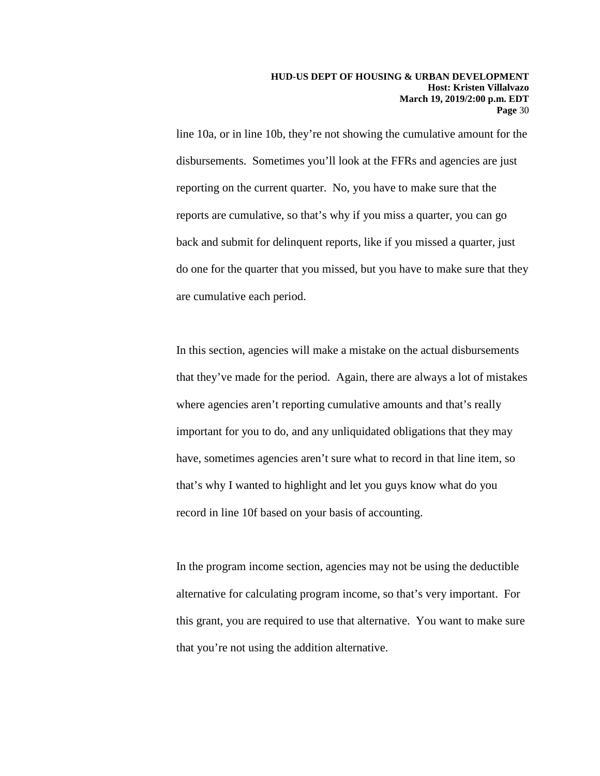line 10a, or in line 10b, they're not showing the cumulative amount for the disbursements. Sometimes you'll look at the FFRs and agencies are just reporting on the current quarter. No, you have to make sure that the reports are cumulative, so that's why if you miss a quarter, you can go back and submit for delinquent reports, like if you missed a quarter, just do one for the quarter that you missed, but you have to make sure that they are cumulative each period.

In this section, agencies will make a mistake on the actual disbursements that they've made for the period. Again, there are always a lot of mistakes where agencies aren't reporting cumulative amounts and that's really important for you to do, and any unliquidated obligations that they may have, sometimes agencies aren't sure what to record in that line item, so that's why I wanted to highlight and let you guys know what do you record in line 10f based on your basis of accounting.

In the program income section, agencies may not be using the deductible alternative for calculating program income, so that's very important. For this grant, you are required to use that alternative. You want to make sure that you're not using the addition alternative.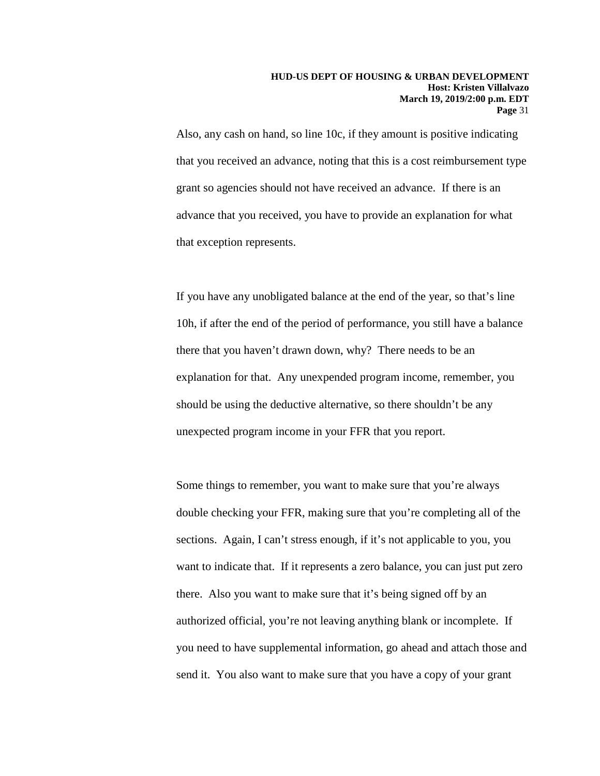Also, any cash on hand, so line 10c, if they amount is positive indicating that you received an advance, noting that this is a cost reimbursement type grant so agencies should not have received an advance. If there is an advance that you received, you have to provide an explanation for what that exception represents.

If you have any unobligated balance at the end of the year, so that's line 10h, if after the end of the period of performance, you still have a balance there that you haven't drawn down, why? There needs to be an explanation for that. Any unexpended program income, remember, you should be using the deductive alternative, so there shouldn't be any unexpected program income in your FFR that you report.

Some things to remember, you want to make sure that you're always double checking your FFR, making sure that you're completing all of the sections. Again, I can't stress enough, if it's not applicable to you, you want to indicate that. If it represents a zero balance, you can just put zero there. Also you want to make sure that it's being signed off by an authorized official, you're not leaving anything blank or incomplete. If you need to have supplemental information, go ahead and attach those and send it. You also want to make sure that you have a copy of your grant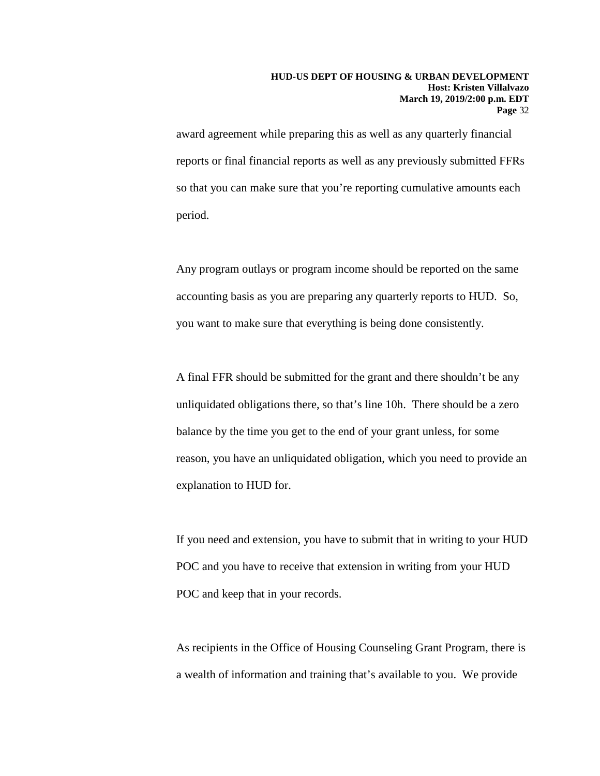award agreement while preparing this as well as any quarterly financial reports or final financial reports as well as any previously submitted FFRs so that you can make sure that you're reporting cumulative amounts each period.

Any program outlays or program income should be reported on the same accounting basis as you are preparing any quarterly reports to HUD. So, you want to make sure that everything is being done consistently.

A final FFR should be submitted for the grant and there shouldn't be any unliquidated obligations there, so that's line 10h. There should be a zero balance by the time you get to the end of your grant unless, for some reason, you have an unliquidated obligation, which you need to provide an explanation to HUD for.

If you need and extension, you have to submit that in writing to your HUD POC and you have to receive that extension in writing from your HUD POC and keep that in your records.

As recipients in the Office of Housing Counseling Grant Program, there is a wealth of information and training that's available to you. We provide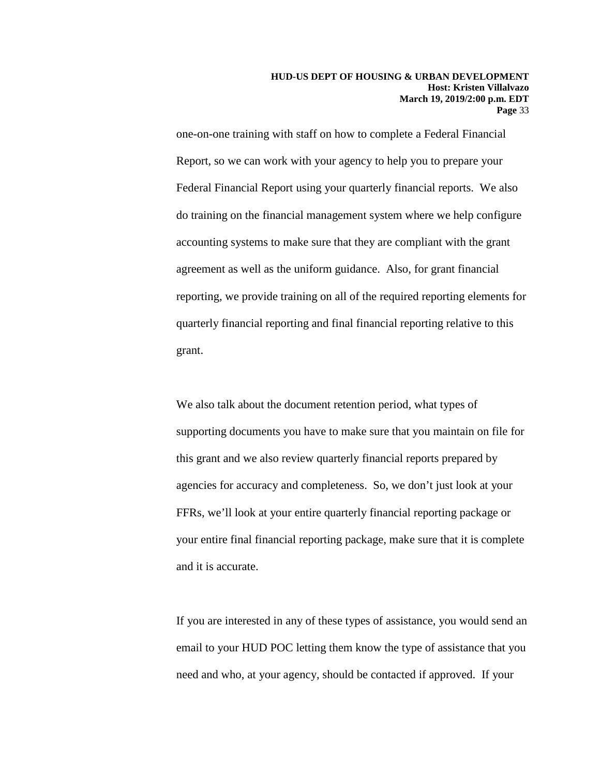one-on-one training with staff on how to complete a Federal Financial Report, so we can work with your agency to help you to prepare your Federal Financial Report using your quarterly financial reports. We also do training on the financial management system where we help configure accounting systems to make sure that they are compliant with the grant agreement as well as the uniform guidance. Also, for grant financial reporting, we provide training on all of the required reporting elements for quarterly financial reporting and final financial reporting relative to this grant.

We also talk about the document retention period, what types of supporting documents you have to make sure that you maintain on file for this grant and we also review quarterly financial reports prepared by agencies for accuracy and completeness. So, we don't just look at your FFRs, we'll look at your entire quarterly financial reporting package or your entire final financial reporting package, make sure that it is complete and it is accurate.

If you are interested in any of these types of assistance, you would send an email to your HUD POC letting them know the type of assistance that you need and who, at your agency, should be contacted if approved. If your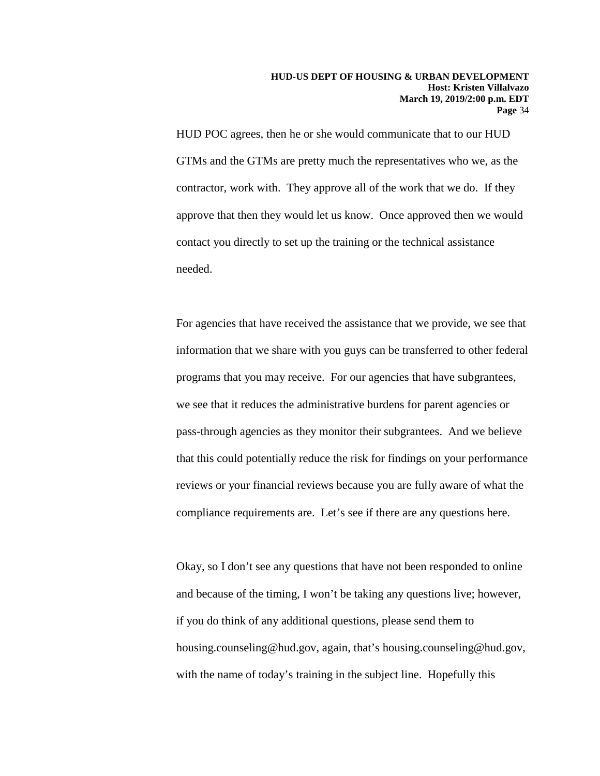HUD POC agrees, then he or she would communicate that to our HUD GTMs and the GTMs are pretty much the representatives who we, as the contractor, work with. They approve all of the work that we do. If they approve that then they would let us know. Once approved then we would contact you directly to set up the training or the technical assistance needed.

For agencies that have received the assistance that we provide, we see that information that we share with you guys can be transferred to other federal programs that you may receive. For our agencies that have subgrantees, we see that it reduces the administrative burdens for parent agencies or pass-through agencies as they monitor their subgrantees. And we believe that this could potentially reduce the risk for findings on your performance reviews or your financial reviews because you are fully aware of what the compliance requirements are. Let's see if there are any questions here.

Okay, so I don't see any questions that have not been responded to online and because of the timing, I won't be taking any questions live; however, if you do think of any additional questions, please send them to housing.counseling@hud.gov, again, that's housing.counseling@hud.gov, with the name of today's training in the subject line. Hopefully this